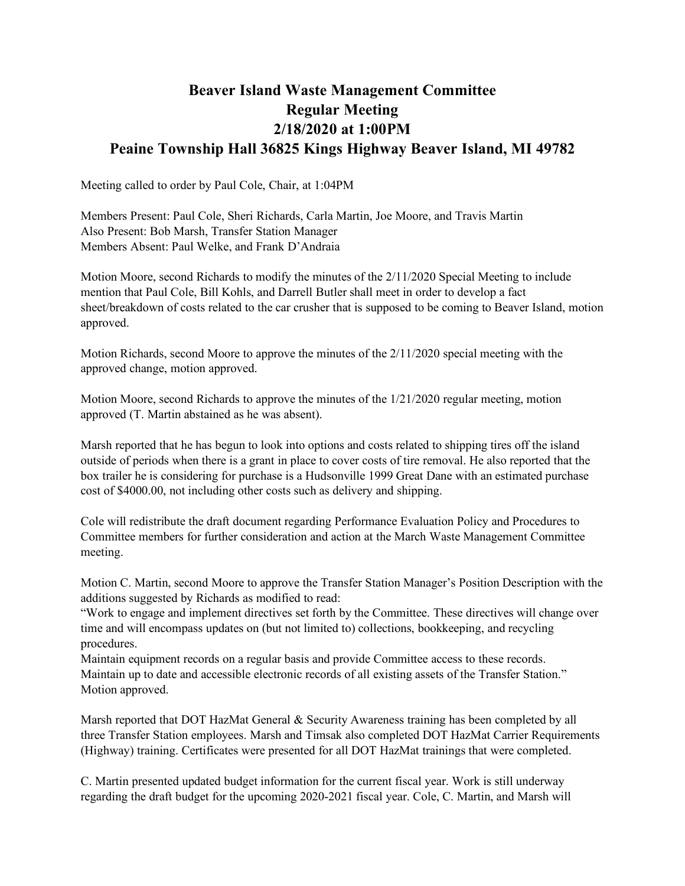## **Beaver Island Waste Management Committee Regular Meeting 2/18/2020 at 1:00PM Peaine Township Hall 36825 Kings Highway Beaver Island, MI 49782**

Meeting called to order by Paul Cole, Chair, at 1:04PM

Members Present: Paul Cole, Sheri Richards, Carla Martin, Joe Moore, and Travis Martin Also Present: Bob Marsh, Transfer Station Manager Members Absent: Paul Welke, and Frank D'Andraia

Motion Moore, second Richards to modify the minutes of the 2/11/2020 Special Meeting to include mention that Paul Cole, Bill Kohls, and Darrell Butler shall meet in order to develop a fact sheet/breakdown of costs related to the car crusher that is supposed to be coming to Beaver Island, motion approved.

Motion Richards, second Moore to approve the minutes of the 2/11/2020 special meeting with the approved change, motion approved.

Motion Moore, second Richards to approve the minutes of the 1/21/2020 regular meeting, motion approved (T. Martin abstained as he was absent).

Marsh reported that he has begun to look into options and costs related to shipping tires off the island outside of periods when there is a grant in place to cover costs of tire removal. He also reported that the box trailer he is considering for purchase is a Hudsonville 1999 Great Dane with an estimated purchase cost of \$4000.00, not including other costs such as delivery and shipping.

Cole will redistribute the draft document regarding Performance Evaluation Policy and Procedures to Committee members for further consideration and action at the March Waste Management Committee meeting.

Motion C. Martin, second Moore to approve the Transfer Station Manager's Position Description with the additions suggested by Richards as modified to read:

"Work to engage and implement directives set forth by the Committee. These directives will change over time and will encompass updates on (but not limited to) collections, bookkeeping, and recycling procedures.

Maintain equipment records on a regular basis and provide Committee access to these records. Maintain up to date and accessible electronic records of all existing assets of the Transfer Station." Motion approved.

Marsh reported that DOT HazMat General & Security Awareness training has been completed by all three Transfer Station employees. Marsh and Timsak also completed DOT HazMat Carrier Requirements (Highway) training. Certificates were presented for all DOT HazMat trainings that were completed.

C. Martin presented updated budget information for the current fiscal year. Work is still underway regarding the draft budget for the upcoming 2020-2021 fiscal year. Cole, C. Martin, and Marsh will